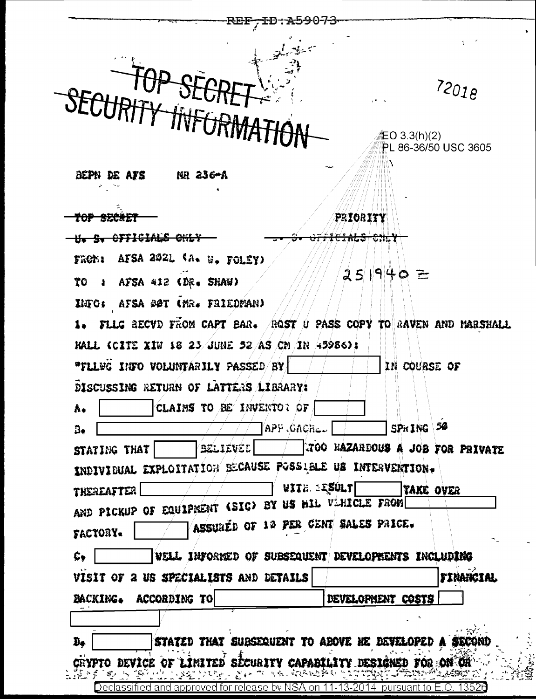| 72018<br><b>上〇 3.3(h)(2)</b><br>PL 86-36/50 USC 3605<br>BEPN DE ATS<br>NR 236 <del>-</del> A<br>PRIORITY<br>820<br><b>CFFICIALS ONLY</b><br>FRONI AFSA 2021 (A. B. FOLÉY)<br>251940 =<br>AFSA 412 (DR. SHAW)<br>70<br>$\blacksquare$<br>INFO: AFSA @@T (MR. FRIEDMAN)<br>1. FLLG RECVD FROM CAPT BAR. ROST U PASS COPY TO RAVEN AND MARSHALL<br>HALL (CITE XIW 18 23 JUNE 52 AS CM IN 45986):<br>"FLLWG INFO VOLUNTARILY PASSED/BY<br>IN COURSE OF<br>DISCUSSING RETURN OF LATTERS LIBRARY:<br>CLAIMS TO BE INVENTOR OF<br>۸.<br>SPRING 50<br>APP CACHL.<br>B,<br>Believee<br>STATING THAT<br>INDIVIDUAL EXPLOITATION BECAUSE POSSIBLE US INTERVENTION.<br>WITH EXULT<br>TAKE OVER<br><b>THEREAFTER</b><br>AND PICKUP OF EQUIPMENT (SIC) BY US BIL VIHICLE FROM<br>ASSURED OF 19 PER CENT SALES PRICE.<br>FACTORY.<br>WELL INFORMED OF SUBSEQUENT DEVELOPMENTS INCLUDING<br>Ç,<br>VISIT OF 2 US SPECIALISTS AND DETAILS<br><b>TINANCIAL</b><br>BACKING. ACCORDING TO<br>DEVELOPMENT COSTS<br>Đ+ |                                                       |
|-------------------------------------------------------------------------------------------------------------------------------------------------------------------------------------------------------------------------------------------------------------------------------------------------------------------------------------------------------------------------------------------------------------------------------------------------------------------------------------------------------------------------------------------------------------------------------------------------------------------------------------------------------------------------------------------------------------------------------------------------------------------------------------------------------------------------------------------------------------------------------------------------------------------------------------------------------------------------------------------------|-------------------------------------------------------|
|                                                                                                                                                                                                                                                                                                                                                                                                                                                                                                                                                                                                                                                                                                                                                                                                                                                                                                                                                                                                 |                                                       |
|                                                                                                                                                                                                                                                                                                                                                                                                                                                                                                                                                                                                                                                                                                                                                                                                                                                                                                                                                                                                 |                                                       |
|                                                                                                                                                                                                                                                                                                                                                                                                                                                                                                                                                                                                                                                                                                                                                                                                                                                                                                                                                                                                 |                                                       |
|                                                                                                                                                                                                                                                                                                                                                                                                                                                                                                                                                                                                                                                                                                                                                                                                                                                                                                                                                                                                 |                                                       |
|                                                                                                                                                                                                                                                                                                                                                                                                                                                                                                                                                                                                                                                                                                                                                                                                                                                                                                                                                                                                 |                                                       |
|                                                                                                                                                                                                                                                                                                                                                                                                                                                                                                                                                                                                                                                                                                                                                                                                                                                                                                                                                                                                 |                                                       |
|                                                                                                                                                                                                                                                                                                                                                                                                                                                                                                                                                                                                                                                                                                                                                                                                                                                                                                                                                                                                 |                                                       |
|                                                                                                                                                                                                                                                                                                                                                                                                                                                                                                                                                                                                                                                                                                                                                                                                                                                                                                                                                                                                 |                                                       |
|                                                                                                                                                                                                                                                                                                                                                                                                                                                                                                                                                                                                                                                                                                                                                                                                                                                                                                                                                                                                 |                                                       |
|                                                                                                                                                                                                                                                                                                                                                                                                                                                                                                                                                                                                                                                                                                                                                                                                                                                                                                                                                                                                 |                                                       |
|                                                                                                                                                                                                                                                                                                                                                                                                                                                                                                                                                                                                                                                                                                                                                                                                                                                                                                                                                                                                 |                                                       |
|                                                                                                                                                                                                                                                                                                                                                                                                                                                                                                                                                                                                                                                                                                                                                                                                                                                                                                                                                                                                 |                                                       |
|                                                                                                                                                                                                                                                                                                                                                                                                                                                                                                                                                                                                                                                                                                                                                                                                                                                                                                                                                                                                 |                                                       |
|                                                                                                                                                                                                                                                                                                                                                                                                                                                                                                                                                                                                                                                                                                                                                                                                                                                                                                                                                                                                 |                                                       |
|                                                                                                                                                                                                                                                                                                                                                                                                                                                                                                                                                                                                                                                                                                                                                                                                                                                                                                                                                                                                 |                                                       |
|                                                                                                                                                                                                                                                                                                                                                                                                                                                                                                                                                                                                                                                                                                                                                                                                                                                                                                                                                                                                 |                                                       |
|                                                                                                                                                                                                                                                                                                                                                                                                                                                                                                                                                                                                                                                                                                                                                                                                                                                                                                                                                                                                 |                                                       |
|                                                                                                                                                                                                                                                                                                                                                                                                                                                                                                                                                                                                                                                                                                                                                                                                                                                                                                                                                                                                 |                                                       |
|                                                                                                                                                                                                                                                                                                                                                                                                                                                                                                                                                                                                                                                                                                                                                                                                                                                                                                                                                                                                 |                                                       |
|                                                                                                                                                                                                                                                                                                                                                                                                                                                                                                                                                                                                                                                                                                                                                                                                                                                                                                                                                                                                 | TOO HAZARDOUS A JOB FOR PRIVATE                       |
|                                                                                                                                                                                                                                                                                                                                                                                                                                                                                                                                                                                                                                                                                                                                                                                                                                                                                                                                                                                                 |                                                       |
|                                                                                                                                                                                                                                                                                                                                                                                                                                                                                                                                                                                                                                                                                                                                                                                                                                                                                                                                                                                                 |                                                       |
|                                                                                                                                                                                                                                                                                                                                                                                                                                                                                                                                                                                                                                                                                                                                                                                                                                                                                                                                                                                                 |                                                       |
|                                                                                                                                                                                                                                                                                                                                                                                                                                                                                                                                                                                                                                                                                                                                                                                                                                                                                                                                                                                                 |                                                       |
|                                                                                                                                                                                                                                                                                                                                                                                                                                                                                                                                                                                                                                                                                                                                                                                                                                                                                                                                                                                                 |                                                       |
|                                                                                                                                                                                                                                                                                                                                                                                                                                                                                                                                                                                                                                                                                                                                                                                                                                                                                                                                                                                                 |                                                       |
|                                                                                                                                                                                                                                                                                                                                                                                                                                                                                                                                                                                                                                                                                                                                                                                                                                                                                                                                                                                                 |                                                       |
|                                                                                                                                                                                                                                                                                                                                                                                                                                                                                                                                                                                                                                                                                                                                                                                                                                                                                                                                                                                                 |                                                       |
|                                                                                                                                                                                                                                                                                                                                                                                                                                                                                                                                                                                                                                                                                                                                                                                                                                                                                                                                                                                                 |                                                       |
|                                                                                                                                                                                                                                                                                                                                                                                                                                                                                                                                                                                                                                                                                                                                                                                                                                                                                                                                                                                                 | STATED THAT SUBSEQUENT TO ABOVE HE DEVELOPED A SECONI |
| Crypto device of limited security capability designed for on OH<br>医阿拉克氏菌科 医马氏试验检酶                                                                                                                                                                                                                                                                                                                                                                                                                                                                                                                                                                                                                                                                                                                                                                                                                                                                                                              |                                                       |